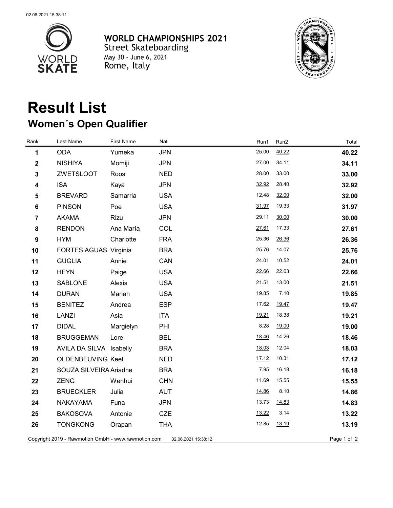

**WORLD CHAMPIONSHIPS 2021 Street Skateboarding** May 30 - June 6, 2021<br>**Rome, Italy** 



## **Result List Women´s Open Qualifier**

| Rank                    | Last Name                                           | <b>First Name</b> | Nat                 | Run1  | Run2  | Total       |
|-------------------------|-----------------------------------------------------|-------------------|---------------------|-------|-------|-------------|
| 1                       | <b>ODA</b>                                          | Yumeka            | <b>JPN</b>          | 25.00 | 40.22 | 40.22       |
| $\mathbf 2$             | <b>NISHIYA</b>                                      | Momiji            | <b>JPN</b>          | 27.00 | 34.11 | 34.11       |
| $\mathbf{3}$            | <b>ZWETSLOOT</b>                                    | Roos              | <b>NED</b>          | 28.00 | 33.00 | 33.00       |
| 4                       | <b>ISA</b>                                          | Kaya              | <b>JPN</b>          | 32.92 | 28.40 | 32.92       |
| 5                       | <b>BREVARD</b>                                      | Samarria          | <b>USA</b>          | 12.48 | 32.00 | 32.00       |
| 6                       | <b>PINSON</b>                                       | Poe               | <b>USA</b>          | 31.97 | 19.33 | 31.97       |
| $\overline{\mathbf{7}}$ | <b>AKAMA</b>                                        | Rizu              | <b>JPN</b>          | 29.11 | 30.00 | 30.00       |
| 8                       | <b>RENDON</b>                                       | Ana María         | COL                 | 27.61 | 17.33 | 27.61       |
| 9                       | <b>HYM</b>                                          | Charlotte         | <b>FRA</b>          | 25.36 | 26.36 | 26.36       |
| 10                      | FORTES AGUAS Virginia                               |                   | <b>BRA</b>          | 25.76 | 14.07 | 25.76       |
| 11                      | <b>GUGLIA</b>                                       | Annie             | CAN                 | 24.01 | 10.52 | 24.01       |
| 12                      | <b>HEYN</b>                                         | Paige             | <b>USA</b>          | 22.66 | 22.63 | 22.66       |
| 13                      | SABLONE                                             | Alexis            | <b>USA</b>          | 21.51 | 13.00 | 21.51       |
| 14                      | <b>DURAN</b>                                        | Mariah            | <b>USA</b>          | 19.85 | 7.10  | 19.85       |
| 15                      | <b>BENITEZ</b>                                      | Andrea            | <b>ESP</b>          | 17.62 | 19.47 | 19.47       |
| 16                      | <b>LANZI</b>                                        | Asia              | <b>ITA</b>          | 19.21 | 18.38 | 19.21       |
| 17                      | <b>DIDAL</b>                                        | Margielyn         | PHI                 | 8.28  | 19.00 | 19.00       |
| 18                      | <b>BRUGGEMAN</b>                                    | Lore              | <b>BEL</b>          | 18.46 | 14.26 | 18.46       |
| 19                      | AVILA DA SILVA Isabelly                             |                   | <b>BRA</b>          | 18.03 | 12.04 | 18.03       |
| 20                      | <b>OLDENBEUVING Keet</b>                            |                   | <b>NED</b>          | 17.12 | 10.31 | 17.12       |
| 21                      | SOUZA SILVEIRA Ariadne                              |                   | <b>BRA</b>          | 7.95  | 16.18 | 16.18       |
| 22                      | <b>ZENG</b>                                         | Wenhui            | <b>CHN</b>          | 11.69 | 15.55 | 15.55       |
| 23                      | <b>BRUECKLER</b>                                    | Julia             | <b>AUT</b>          | 14.86 | 8.10  | 14.86       |
| 24                      | <b>NAKAYAMA</b>                                     | Funa              | <b>JPN</b>          | 13.73 | 14.83 | 14.83       |
| 25                      | <b>BAKOSOVA</b>                                     | Antonie           | <b>CZE</b>          | 13.22 | 3.14  | 13.22       |
| 26                      | <b>TONGKONG</b>                                     | Orapan            | <b>THA</b>          | 12.85 | 13.19 | 13.19       |
|                         | Copyright 2019 - Rawmotion GmbH - www.rawmotion.com |                   | 02.06.2021 15:38:12 |       |       | Page 1 of 2 |